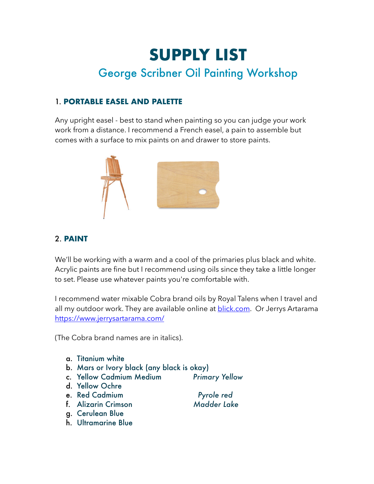# **SUPPLY LIST** George Scribner Oil Painting Workshop

# 1. **PORTABLE EASEL AND PALETTE**

Any upright easel - best to stand when painting so you can judge your work work from a distance. I recommend a French easel, a pain to assemble but comes with a surface to mix paints on and drawer to store paints.



# 2. **PAINT**

We'll be working with a warm and a cool of the primaries plus black and white. Acrylic paints are fine but I recommend using oils since they take a little longer to set. Please use whatever paints you're comfortable with.

I recommend water mixable Cobra brand oils by Royal Talens when I travel and all my outdoor work. They are available online at **blick.com.** Or Jerrys Artarama <https://www.jerrysartarama.com/>

(The Cobra brand names are in italics).

- a. Titanium white
- b. Mars or Ivory black (any black is okay)
- c. Yellow Cadmium Medium *Primary Yellow*
- d. Yellow Ochre
- 
- f. Alizarin Crimson

e. Red Cadmium *Pyrole red*

- g. Cerulean Blue
- h. Ultramarine Blue